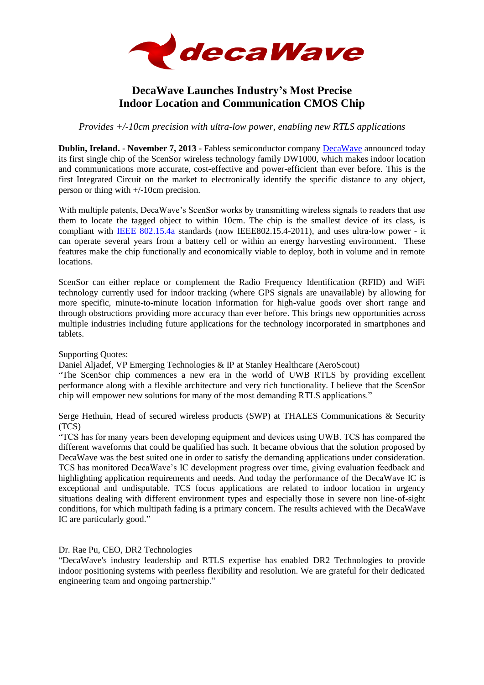

## **DecaWave Launches Industry's Most Precise Indoor Location and Communication CMOS Chip**

*Provides +/-10cm precision with ultra-low power, enabling new RTLS applications* 

**Dublin, Ireland. - November 7, 2013 -** Fabless semiconductor company [DecaWave](http://www.decawave.com/) announced today its first single chip of the ScenSor wireless technology family DW1000, which makes indoor location and communications more accurate, cost-effective and power-efficient than ever before. This is the first Integrated Circuit on the market to electronically identify the specific distance to any object, person or thing with +/-10cm precision.

With multiple patents, DecaWave's ScenSor works by transmitting wireless signals to readers that use them to locate the tagged object to within 10cm. The chip is the smallest device of its class, is compliant with [IEEE 802.15.4a](http://www.decawave.com/standards-based-vs-proprietary-technology.html) standards (now IEEE802.15.4-2011), and uses ultra-low power - it can operate several years from a battery cell or within an energy harvesting environment. These features make the chip functionally and economically viable to deploy, both in volume and in remote locations.

ScenSor can either replace or complement the Radio Frequency Identification (RFID) and WiFi technology currently used for indoor tracking (where GPS signals are unavailable) by allowing for more specific, minute-to-minute location information for high-value goods over short range and through obstructions providing more accuracy than ever before. This brings new opportunities across multiple industries including future applications for the technology incorporated in smartphones and tablets.

Supporting Quotes:

Daniel Aljadef, VP Emerging Technologies & IP at Stanley Healthcare (AeroScout)

"The ScenSor chip commences a new era in the world of UWB RTLS by providing excellent performance along with a flexible architecture and very rich functionality. I believe that the ScenSor chip will empower new solutions for many of the most demanding RTLS applications."

Serge Hethuin, Head of secured wireless products (SWP) at THALES Communications & Security (TCS)

"TCS has for many years been developing equipment and devices using UWB. TCS has compared the different waveforms that could be qualified has such. It became obvious that the solution proposed by DecaWave was the best suited one in order to satisfy the demanding applications under consideration. TCS has monitored DecaWave's IC development progress over time, giving evaluation feedback and highlighting application requirements and needs. And today the performance of the DecaWave IC is exceptional and undisputable. TCS focus applications are related to indoor location in urgency situations dealing with different environment types and especially those in severe non line-of-sight conditions, for which multipath fading is a primary concern. The results achieved with the DecaWave IC are particularly good."

Dr. Rae Pu, CEO, DR2 Technologies

"DecaWave's industry leadership and RTLS expertise has enabled DR2 Technologies to provide indoor positioning systems with peerless flexibility and resolution. We are grateful for their dedicated engineering team and ongoing partnership."